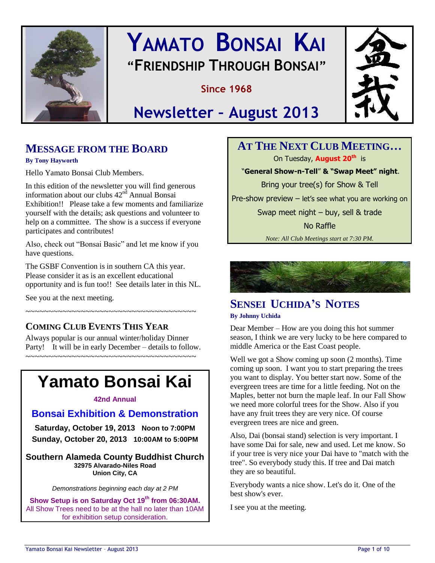

# **YAMATO BONSAI KAI "FRIENDSHIP THROUGH BONSAI"**

**Since 1968**



# **Newsletter – August 2013**

# **MESSAGE FROM THE BOARD**

**By Tony Hayworth** 

Hello Yamato Bonsai Club Members.

In this edition of the newsletter you will find generous information about our clubs  $42<sup>nd</sup>$  Annual Bonsai Exhibition!! Please take a few moments and familiarize yourself with the details; ask questions and volunteer to help on a committee. The show is a success if everyone participates and contributes!

Also, check out "Bonsai Basic" and let me know if you have questions.

The GSBF Convention is in southern CA this year. Please consider it as is an excellent educational opportunity and is fun too!! See details later in this NL.

See you at the next meeting.

### **COMING CLUB EVENTS THIS YEAR**

Always popular is our annual winter/holiday Dinner Party! It will be in early December – details to follow. ~~~~~~~~~~~~~~~~~~~~~~~~~~~~~~~~~~~~~

~~~~~~~~~~~~~~~~~~~~~~~~~~~~~~~~~~~~~

# **Yamato Bonsai Kai**

#### **42nd Annual**

### **Bonsai Exhibition & Demonstration**

**Saturday, October 19, 2013 Noon to 7:00PM Sunday, October 20, 2013 10:00AM to 5:00PM**

**Southern Alameda County Buddhist Church 32975 Alvarado-Niles Road Union City, CA**

*Demonstrations beginning each day at 2 PM* 

**Show Setup is on Saturday Oct 19 th from 06:30AM.**  All Show Trees need to be at the hall no later than 10AM for exhibition setup consideration.

**AT THE NEXT CLUB MEETING…** On Tuesday, **August 20th** is "**General Show-n-Tell**" **& "Swap Meet" night**. Bring your tree(s) for Show & Tell Pre-show preview – let's see what you are working on Swap meet night – buy, sell & trade No Raffle *Note: All Club Meetings start at 7:30 PM.*



# **SENSEI UCHIDA'S NOTES**

#### **By Johnny Uchida**

Dear Member – How are you doing this hot summer season, I think we are very lucky to be here compared to middle America or the East Coast people.

Well we got a Show coming up soon (2 months). Time coming up soon. I want you to start preparing the trees you want to display. You better start now. Some of the evergreen trees are time for a little feeding. Not on the Maples, better not burn the maple leaf. In our Fall Show we need more colorful trees for the Show. Also if you have any fruit trees they are very nice. Of course evergreen trees are nice and green.

Also, Dai (bonsai stand) selection is very important. I have some Dai for sale, new and used. Let me know. So if your tree is very nice your Dai have to "match with the tree". So everybody study this. If tree and Dai match they are so beautiful.

Everybody wants a nice show. Let's do it. One of the best show's ever.

I see you at the meeting.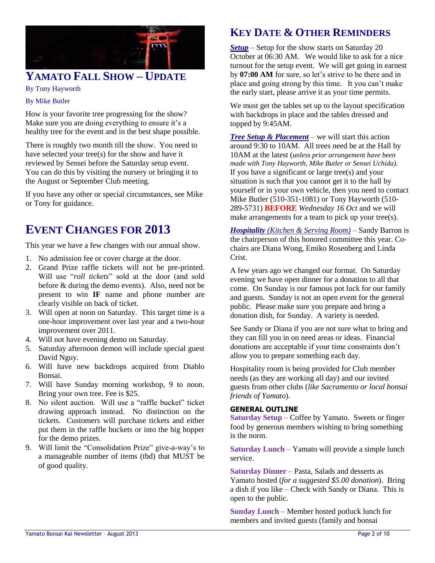

## **YAMATO FALL SHOW – UPDATE**

By Tony Hayworth

#### By Mike Butler

How is your favorite tree progressing for the show? Make sure you are doing everything to ensure it's a healthy tree for the event and in the best shape possible.

There is roughly two month till the show. You need to have selected your tree(s) for the show and have it reviewed by Sensei before the Saturday setup event. You can do this by visiting the nursery or bringing it to the August or September Club meeting.

If you have any other or special circumstances, see Mike or Tony for guidance.

# **EVENT CHANGES FOR 2013**

This year we have a few changes with our annual show.

- 1. No admission fee or cover charge at the door.
- 2. Grand Prize raffle tickets will not be pre-printed. Will use "*roll tickets*" sold at the door (and sold before & during the demo events). Also, need not be present to win **IF** name and phone number are clearly visible on back of ticket.
- 3. Will open at noon on Saturday. This target time is a one-hour improvement over last year and a two-hour improvement over 2011.
- 4. Will not have evening demo on Saturday.
- 5. Saturday afternoon demon will include special guest David Nguy.
- 6. Will have new backdrops acquired from Diablo Bonsai.
- 7. Will have Sunday morning workshop, 9 to noon. Bring your own tree. Fee is \$25.
- 8. No silent auction. Will use a "raffle bucket" ticket drawing approach instead. No distinction on the tickets. Customers will purchase tickets and either put them in the raffle buckets or into the big hopper for the demo prizes.
- 9. Will limit the "Consolidation Prize" give-a-way's to a manageable number of items (tbd) that MUST be of good quality.

# **KEY DATE & OTHER REMINDERS**

*Setup* – Setup for the show starts on Saturday 20 October at 06:30 AM. We would like to ask for a nice turnout for the setup event. We will get going in earnest by **07:00 AM** for sure, so let's strive to be there and in place and going strong by this time. It you can't make the early start, please arrive it as your time permits.

We must get the tables set up to the layout specification with backdrops in place and the tables dressed and topped by 9:45AM.

*Tree Setup & Placement* – we will start this action around 9:30 to 10AM. All trees need be at the Hall by 10AM at the latest (*unless prior arrangement have been made with Tony Hayworth, Mike Butler or Sensei Uchida).* If you have a significant or large tree(s) and your situation is such that you cannot get it to the hall by yourself or in your own vehicle, then you need to contact Mike Butler (510-351-1081) or Tony Hayworth (510- 289-5731) **BEFORE** *Wednesday 16 Oct* and we will make arrangements for a team to pick up your tree(s).

*Hospitality (Kitchen & Serving Room)* – Sandy Barron is the chairperson of this honored committee this year. Cochairs are Diana Wong, Emiko Rosenberg and Linda Crist.

A few years ago we changed our format. On Saturday evening we have open dinner for a donation to all that come. On Sunday is our famous pot luck for our family and guests. Sunday is not an open event for the general public. Please make sure you prepare and bring a donation dish, for Sunday. A variety is needed.

See Sandy or Diana if you are not sure what to bring and they can fill you in on need areas or ideas. Financial donations are acceptable if your time constraints don't allow you to prepare something each day.

Hospitality room is being provided for Club member needs (as they are working all day) and our invited guests from other clubs (*like Sacramento or local bonsai friends of Yamato*).

#### **GENERAL OUTLINE**

**Saturday Setup** – Coffee by Yamato. Sweets or finger food by generous members wishing to bring something is the norm.

**Saturday Lunch** – Yamato will provide a simple lunch service.

**Saturday Dinner** – Pasta, Salads and desserts as Yamato hosted (*for a suggested \$5.00 donation*). Bring a dish if you like – Check with Sandy or Diana. This is open to the public.

**Sunday Lunch** – Member hosted potluck lunch for members and invited guests (family and bonsai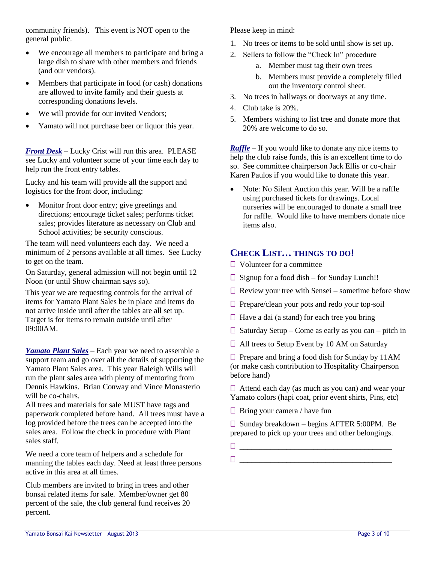community friends). This event is NOT open to the general public.

- We encourage all members to participate and bring a large dish to share with other members and friends (and our vendors).
- Members that participate in food (or cash) donations are allowed to invite family and their guests at corresponding donations levels.
- We will provide for our invited Vendors;
- Yamato will not purchase beer or liquor this year.

*Front Desk* – Lucky Crist will run this area. PLEASE see Lucky and volunteer some of your time each day to help run the front entry tables.

Lucky and his team will provide all the support and logistics for the front door, including:

• Monitor front door entry; give greetings and directions; encourage ticket sales; performs ticket sales; provides literature as necessary on Club and School activities; be security conscious.

The team will need volunteers each day. We need a minimum of 2 persons available at all times. See Lucky to get on the team.

On Saturday, general admission will not begin until 12 Noon (or until Show chairman says so).

This year we are requesting controls for the arrival of items for Yamato Plant Sales be in place and items do not arrive inside until after the tables are all set up. Target is for items to remain outside until after 09:00AM.

*Yamato Plant Sales* – Each year we need to assemble a support team and go over all the details of supporting the Yamato Plant Sales area. This year Raleigh Wills will run the plant sales area with plenty of mentoring from Dennis Hawkins. Brian Conway and Vince Monasterio will be co-chairs.

All trees and materials for sale MUST have tags and paperwork completed before hand. All trees must have a log provided before the trees can be accepted into the sales area. Follow the check in procedure with Plant sales staff.

We need a core team of helpers and a schedule for manning the tables each day. Need at least three persons active in this area at all times.

Club members are invited to bring in trees and other bonsai related items for sale. Member/owner get 80 percent of the sale, the club general fund receives 20 percent.

Please keep in mind:

- 1. No trees or items to be sold until show is set up.
- 2. Sellers to follow the "Check In" procedure
	- a. Member must tag their own trees
	- b. Members must provide a completely filled out the inventory control sheet.
- 3. No trees in hallways or doorways at any time.
- 4. Club take is 20%.
- 5. Members wishing to list tree and donate more that 20% are welcome to do so.

*Raffle* – If you would like to donate any nice items to help the club raise funds, this is an excellent time to do so. See committee chairperson Jack Ellis or co-chair Karen Paulos if you would like to donate this year.

• Note: No Silent Auction this year. Will be a raffle using purchased tickets for drawings. Local nurseries will be encouraged to donate a small tree for raffle. Would like to have members donate nice items also.

### **CHECK LIST… THINGS TO DO!**

- □ Volunteer for a committee
- □ Signup for a food dish for Sunday Lunch!!
- $\Box$  Review your tree with Sensei sometime before show
- $\Box$  Prepare/clean your pots and redo your top-soil
- $\Box$  Have a dai (a stand) for each tree you bring
- $\Box$  Saturday Setup Come as early as you can pitch in
- □ All trees to Setup Event by 10 AM on Saturday

□ Prepare and bring a food dish for Sunday by 11AM (or make cash contribution to Hospitality Chairperson before hand)

 $\Box$  Attend each day (as much as you can) and wear your Yamato colors (hapi coat, prior event shirts, Pins, etc)

 $\Box$  Bring your camera / have fun

□ Sunday breakdown – begins AFTER 5:00PM. Be prepared to pick up your trees and other belongings.

\_\_\_\_\_\_\_\_\_\_\_\_\_\_\_\_\_\_\_\_\_\_\_\_\_\_\_\_\_\_\_\_\_\_\_\_\_\_\_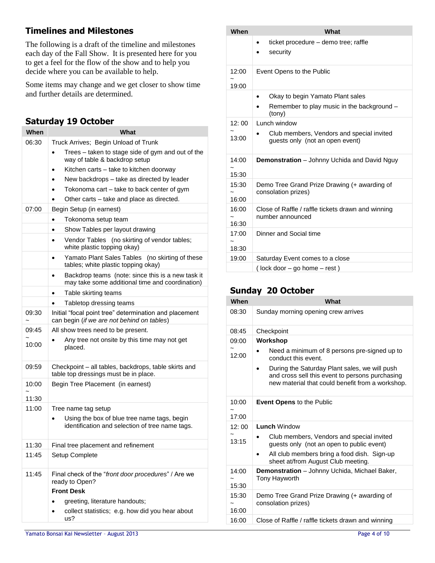### **Timelines and Milestones**

The following is a draft of the timeline and milestones each day of the Fall Show. It is presented here for you to get a feel for the flow of the show and to help you decide where you can be available to help.

Some items may change and we get closer to show time and further details are determined.

### **Saturday 19 October**

| When  | What                                                                                                 |
|-------|------------------------------------------------------------------------------------------------------|
| 06:30 | Truck Arrives; Begin Unload of Trunk                                                                 |
|       | Trees - taken to stage side of gym and out of the<br>way of table & backdrop setup                   |
|       | Kitchen carts - take to kitchen doorway                                                              |
|       | New backdrops - take as directed by leader                                                           |
|       | Tokonoma cart – take to back center of gym                                                           |
|       | Other carts - take and place as directed.                                                            |
| 07:00 | Begin Setup (in earnest)                                                                             |
|       | Tokonoma setup team                                                                                  |
|       | Show Tables per layout drawing                                                                       |
|       | Vendor Tables (no skirting of vendor tables;<br>white plastic topping okay)                          |
|       | Yamato Plant Sales Tables<br>(no skirting of these<br>tables; white plastic topping okay)            |
|       | Backdrop teams (note: since this is a new task it<br>may take some additional time and coordination) |
|       | Table skirting teams                                                                                 |
|       | Tabletop dressing teams                                                                              |
| 09:30 | Initial "focal point tree" determination and placement<br>can begin (if we are not behind on tables) |
| 09:45 | All show trees need to be present.                                                                   |
| 10:00 | Any tree not onsite by this time may not get<br>placed.                                              |
| 09:59 | Checkpoint – all tables, backdrops, table skirts and<br>table top dressings must be in place.        |
| 10:00 | Begin Tree Placement (in earnest)                                                                    |
| 11:30 |                                                                                                      |
| 11:00 | Tree name tag setup                                                                                  |
|       | Using the box of blue tree name tags, begin<br>identification and selection of tree name tags.       |
| 11:30 | Final tree placement and refinement                                                                  |
| 11:45 | Setup Complete                                                                                       |
| 11:45 | Final check of the "front door procedures" / Are we<br>ready to Open?                                |
|       | <b>Front Desk</b>                                                                                    |
|       | greeting, literature handouts;                                                                       |
|       | collect statistics; e.g. how did you hear about<br>us?                                               |

| When           | What                                                                         |
|----------------|------------------------------------------------------------------------------|
|                | ticket procedure – demo tree; raffle<br>security                             |
| 12:00<br>19:00 | Event Opens to the Public                                                    |
|                | Okay to begin Yamato Plant sales                                             |
|                | Remember to play music in the background -<br>(tony)                         |
| 12:00          | Lunch window                                                                 |
| 13:00          | Club members, Vendors and special invited<br>quests only (not an open event) |
| 14:00<br>15:30 | <b>Demonstration</b> – Johnny Uchida and David Nguy                          |
| 15:30<br>16:00 | Demo Tree Grand Prize Drawing (+ awarding of<br>consolation prizes)          |
| 16:00<br>16:30 | Close of Raffle / raffle tickets drawn and winning<br>number announced       |
| 17:00<br>18:30 | Dinner and Social time                                                       |
| 19:00          | Saturday Event comes to a close                                              |
|                | (lock door - go home - rest)                                                 |

### **Sunday 20 October**

| When           | What                                                                                                                                                 |
|----------------|------------------------------------------------------------------------------------------------------------------------------------------------------|
| 08:30          | Sunday morning opening crew arrives                                                                                                                  |
| 08:45          | Checkpoint                                                                                                                                           |
| 09:00          | Workshop                                                                                                                                             |
| 12:00          | Need a minimum of 8 persons pre-signed up to<br>conduct this event.                                                                                  |
|                | During the Saturday Plant sales, we will push<br>and cross sell this event to persons purchasing<br>new material that could benefit from a workshop. |
| 10:00          | <b>Event Opens to the Public</b>                                                                                                                     |
| 17:00          |                                                                                                                                                      |
| 12:00          | <b>Lunch Window</b>                                                                                                                                  |
| 13:15          | Club members, Vendors and special invited<br>guests only (not an open to public event)                                                               |
|                | All club members bring a food dish. Sign-up<br>sheet at/from August Club meeting.                                                                    |
| 14:00<br>15:30 | <b>Demonstration</b> - Johnny Uchida, Michael Baker,<br>Tony Hayworth                                                                                |
| 15:30<br>16:00 | Demo Tree Grand Prize Drawing (+ awarding of<br>consolation prizes)                                                                                  |
| 16:00          | Close of Raffle / raffle tickets drawn and winning                                                                                                   |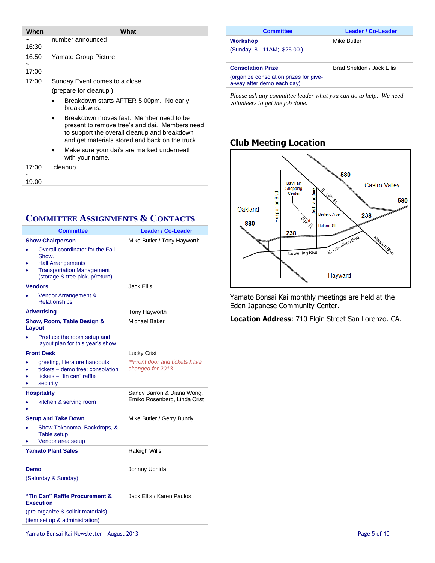| When           | What                                                                                                                                                                                                      |
|----------------|-----------------------------------------------------------------------------------------------------------------------------------------------------------------------------------------------------------|
| 16:30          | number announced                                                                                                                                                                                          |
| 16:50<br>17:00 | Yamato Group Picture                                                                                                                                                                                      |
| 17:00          | Sunday Event comes to a close                                                                                                                                                                             |
|                | (prepare for cleanup)                                                                                                                                                                                     |
|                | Breakdown starts AFTER 5:00pm. No early<br>breakdowns.                                                                                                                                                    |
|                | Breakdown moves fast. Member need to be<br>$\bullet$<br>present to remove tree's and dai. Members need<br>to support the overall cleanup and breakdown<br>and get materials stored and back on the truck. |
|                | Make sure your dai's are marked underneath<br>with your name.                                                                                                                                             |
| 17:00          | cleanup                                                                                                                                                                                                   |
| 19:00          |                                                                                                                                                                                                           |

### **COMMITTEE ASSIGNMENTS & CONTACTS**

| <b>Committee</b>                                                                                                                                                       | <b>Leader / Co-Leader</b>                                  |
|------------------------------------------------------------------------------------------------------------------------------------------------------------------------|------------------------------------------------------------|
| <b>Show Chairperson</b><br>Overall coordinator for the Fall<br>Show.<br><b>Hall Arrangements</b><br><b>Transportation Management</b><br>(storage & tree pickup/return) | Mike Butler / Tony Hayworth                                |
| <b>Vendors</b><br>Vendor Arrangement &<br><b>Relationships</b>                                                                                                         | Jack Ellis                                                 |
| <b>Advertising</b>                                                                                                                                                     | Tony Hayworth                                              |
| Show, Room, Table Design &<br>Layout<br>Produce the room setup and<br>layout plan for this year's show.                                                                | Michael Baker                                              |
| <b>Front Desk</b>                                                                                                                                                      | Lucky Crist                                                |
| greeting, literature handouts<br>tickets – demo tree: consolation<br>tickets - "tin can" raffle<br>security                                                            | **Front door and tickets have<br>changed for 2013.         |
| <b>Hospitality</b><br>kitchen & serving room                                                                                                                           | Sandy Barron & Diana Wong,<br>Emiko Rosenberg, Linda Crist |
| <b>Setup and Take Down</b><br>Show Tokonoma, Backdrops, &<br><b>Table setup</b><br>Vendor area setup                                                                   | Mike Butler / Gerry Bundy                                  |
| <b>Yamato Plant Sales</b>                                                                                                                                              | <b>Raleigh Wills</b>                                       |
| Demo<br>(Saturday & Sunday)                                                                                                                                            | Johnny Uchida                                              |
| "Tin Can" Raffle Procurement &<br><b>Execution</b>                                                                                                                     | Jack Ellis / Karen Paulos                                  |
| (pre-organize & solicit materials)<br>(item set up & administration)                                                                                                   |                                                            |

| <b>Committee</b>                                                                                 | <b>Leader / Co-Leader</b>        |
|--------------------------------------------------------------------------------------------------|----------------------------------|
| Workshop<br>(Sunday 8 - 11AM; \$25.00)                                                           | Mike Butler                      |
| <b>Consolation Prize</b><br>(organize consolation prizes for give-<br>a-way after demo each day) | <b>Brad Sheldon / Jack Fllis</b> |

*Please ask any committee leader what you can do to help. We need volunteers to get the job done.* 

### **Club Meeting Location**



Yamato Bonsai Kai monthly meetings are held at the Eden Japanese Community Center.

**Location Address**: 710 Elgin Street San Lorenzo. CA.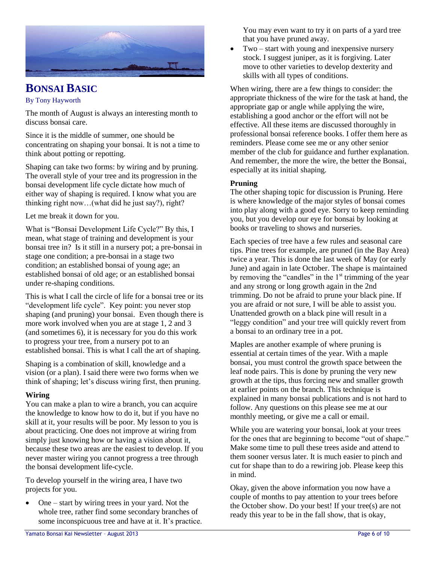

# **BONSAI BASIC**

#### By Tony Hayworth

The month of August is always an interesting month to discuss bonsai care.

Since it is the middle of summer, one should be concentrating on shaping your bonsai. It is not a time to think about potting or repotting.

Shaping can take two forms: by wiring and by pruning. The overall style of your tree and its progression in the bonsai development life cycle dictate how much of either way of shaping is required. I know what you are thinking right now…(what did he just say?), right?

Let me break it down for you.

What is "Bonsai Development Life Cycle?" By this, I mean, what stage of training and development is your bonsai tree in? Is it still in a nursery pot; a pre-bonsai in stage one condition; a pre-bonsai in a stage two condition; an established bonsai of young age; an established bonsai of old age; or an established bonsai under re-shaping conditions.

This is what I call the circle of life for a bonsai tree or its "development life cycle". Key point: you never stop shaping (and pruning) your bonsai. Even though there is more work involved when you are at stage 1, 2 and 3 (and sometimes 6), it is necessary for you do this work to progress your tree, from a nursery pot to an established bonsai. This is what I call the art of shaping.

Shaping is a combination of skill, knowledge and a vision (or a plan). I said there were two forms when we think of shaping; let's discuss wiring first, then pruning.

#### **Wiring**

You can make a plan to wire a branch, you can acquire the knowledge to know how to do it, but if you have no skill at it, your results will be poor. My lesson to you is about practicing. One does not improve at wiring from simply just knowing how or having a vision about it, because these two areas are the easiest to develop. If you never master wiring you cannot progress a tree through the bonsai development life-cycle.

To develop yourself in the wiring area, I have two projects for you.

 One – start by wiring trees in your yard. Not the whole tree, rather find some secondary branches of some inconspicuous tree and have at it. It's practice.

You may even want to try it on parts of a yard tree that you have pruned away.

• Two – start with young and inexpensive nursery stock. I suggest juniper, as it is forgiving. Later move to other varieties to develop dexterity and skills with all types of conditions.

When wiring, there are a few things to consider: the appropriate thickness of the wire for the task at hand, the appropriate gap or angle while applying the wire, establishing a good anchor or the effort will not be effective. All these items are discussed thoroughly in professional bonsai reference books. I offer them here as reminders. Please come see me or any other senior member of the club for guidance and further explanation. And remember, the more the wire, the better the Bonsai, especially at its initial shaping.

#### **Pruning**

The other shaping topic for discussion is Pruning. Here is where knowledge of the major styles of bonsai comes into play along with a good eye. Sorry to keep reminding you, but you develop our eye for bonsai by looking at books or traveling to shows and nurseries.

Each species of tree have a few rules and seasonal care tips. Pine trees for example, are pruned (in the Bay Area) twice a year. This is done the last week of May (or early June) and again in late October. The shape is maintained by removing the "candles" in the  $1<sup>st</sup>$  trimming of the year and any strong or long growth again in the 2nd trimming. Do not be afraid to prune your black pine. If you are afraid or not sure, I will be able to assist you. Unattended growth on a black pine will result in a "leggy condition" and your tree will quickly revert from a bonsai to an ordinary tree in a pot.

Maples are another example of where pruning is essential at certain times of the year. With a maple bonsai, you must control the growth space between the leaf node pairs. This is done by pruning the very new growth at the tips, thus forcing new and smaller growth at earlier points on the branch. This technique is explained in many bonsai publications and is not hard to follow. Any questions on this please see me at our monthly meeting, or give me a call or email.

While you are watering your bonsai, look at your trees for the ones that are beginning to become "out of shape." Make some time to pull these trees aside and attend to them sooner versus later. It is much easier to pinch and cut for shape than to do a rewiring job. Please keep this in mind.

Okay, given the above information you now have a couple of months to pay attention to your trees before the October show. Do your best! If your tree(s) are not ready this year to be in the fall show, that is okay,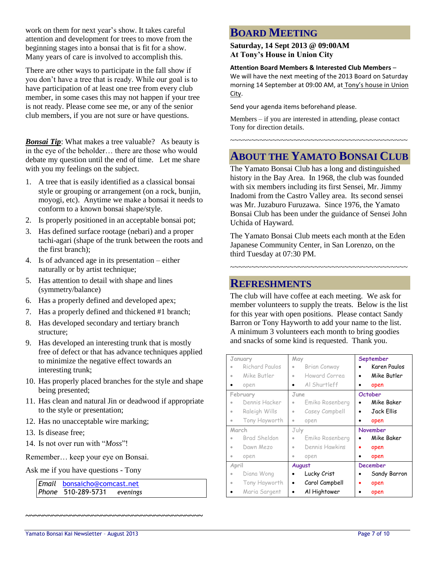work on them for next year's show. It takes careful attention and development for trees to move from the beginning stages into a bonsai that is fit for a show. Many years of care is involved to accomplish this.

There are other ways to participate in the fall show if you don't have a tree that is ready. While our goal is to have participation of at least one tree from every club member, in some cases this may not happen if your tree is not ready. Please come see me, or any of the senior club members, if you are not sure or have questions.

*Bonsai Tip*: What makes a tree valuable? As beauty is in the eye of the beholder… there are those who would debate my question until the end of time. Let me share with you my feelings on the subject.

- 1. A tree that is easily identified as a classical bonsai style or grouping or arrangement (on a rock, bunjin, moyogi, etc). Anytime we make a bonsai it needs to conform to a known bonsai shape/style.
- 2. Is properly positioned in an acceptable bonsai pot;
- 3. Has defined surface rootage (nebari) and a proper tachi-agari (shape of the trunk between the roots and the first branch);
- 4. Is of advanced age in its presentation either naturally or by artist technique;
- 5. Has attention to detail with shape and lines (symmetry/balance)
- 6. Has a properly defined and developed apex;
- 7. Has a properly defined and thickened #1 branch;
- 8. Has developed secondary and tertiary branch structure;
- 9. Has developed an interesting trunk that is mostly free of defect or that has advance techniques applied to minimize the negative effect towards an interesting trunk;
- 10. Has properly placed branches for the style and shape being presented;
- 11. Has clean and natural Jin or deadwood if appropriate to the style or presentation;

**~~~~~~~~~~~~~~~~~~~~~~~~~~~~~~~~~~~~~~~~**

- 12. Has no unacceptable wire marking;
- 13. Is disease free;
- 14. Is not over run with "*Moss*"!

Remember… keep your eye on Bonsai.

Ask me if you have questions - Tony

*Email* [bonsaicho@comcast.net](mailto:bonsaicho@comcast.net)  *Phone* 510-289-5731 *evenings*

# **BOARD MEETING**

**Saturday, 14 Sept 2013 @ 09:00AM At Tony's House in Union City**

#### **Attention Board Members & Interested Club Members** –

We will have the next meeting of the 2013 Board on Saturday morning 14 September at 09:00 AM, at Tony's house in Union City.

Send your agenda items beforehand please.

Members – if you are interested in attending, please contact Tony for direction details.

~~~~~~~~~~~~~~~~~~~~~~~~~~~~~~~~~~~~~~~~~~

# **ABOUT THE YAMATO BONSAI CLUB**

The Yamato Bonsai Club has a long and distinguished history in the Bay Area. In 1968, the club was founded with six members including its first Sensei, Mr. Jimmy Inadomi from the Castro Valley area. Its second sensei was Mr. Juzaburo Furuzawa. Since 1976, the Yamato Bonsai Club has been under the guidance of Sensei John Uchida of Hayward.

The Yamato Bonsai Club meets each month at the Eden Japanese Community Center, in San Lorenzo, on the third Tuesday at 07:30 PM.

~~~~~~~~~~~~~~~~~~~~~~~~~~~~~~~~~~~~~~~~~~

### **REFRESHMENTS**

The club will have coffee at each meeting. We ask for member volunteers to supply the treats. Below is the list for this year with open positions. Please contact Sandy Barron or Tony Hayworth to add your name to the list. A minimum 3 volunteers each month to bring goodies and snacks of some kind is requested. Thank you.

| January   |                | May       |                 |           | September       |
|-----------|----------------|-----------|-----------------|-----------|-----------------|
| ö         | Richard Paulos | ò         | Brian Conway    |           | Karen Paulos    |
| $\bullet$ | Mike Butler    | ö         | Howard Correa   |           | Mike Butler     |
| ٠         | open           |           | Al Shurtleff    | ٠         | open            |
|           | February       | June      |                 |           | <b>October</b>  |
| $\bullet$ | Dennis Hacker  | ۰         | Emiko Rosenberg | $\bullet$ | Mike Baker      |
| $\bullet$ | Raleigh Wills  | $\bullet$ | Casey Campbell  | $\bullet$ | Jack Ellis      |
| $\bullet$ | Tony Hayworth  | ۰         | open            |           | open            |
| March     |                |           |                 |           |                 |
|           |                | July      |                 |           | November        |
| ۰         | Brad Sheldon   |           | Emiko Rosenberg |           | Mike Baker      |
| $\bullet$ | Dawn Mezo      | ö         | Dennis Hawkins  |           | open            |
| ۰         | open           | $\bullet$ | open            |           | open            |
| April     |                |           | <b>August</b>   |           | <b>December</b> |
| $\bullet$ | Diana Wong     |           | Lucky Crist     |           | Sandy Barron    |
| $\circ$   | Tony Hayworth  | $\bullet$ | Carol Campbell  |           | open            |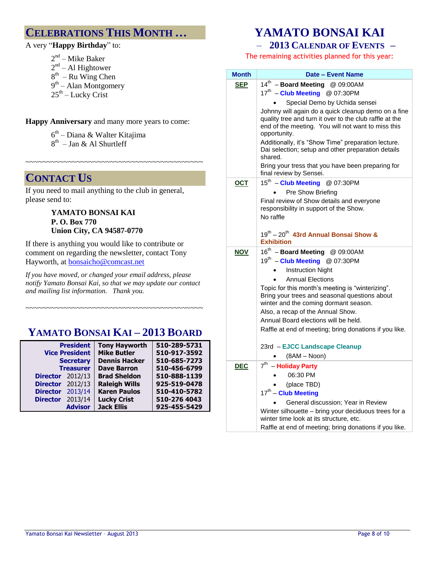## **CELEBRATIONS THIS MONTH …**

A very "**Happy Birthday**" to:

2<sup>nd</sup> – Mike Baker  $2<sup>nd</sup> – Al Higher However$ 

- $8<sup>th</sup>$  Ru Wing Chen
- 9<sup>th</sup> Alan Montgomery
- $25<sup>th</sup>$  Lucky Crist

**Happy Anniversary** and many more years to come:

~~~~~~~~~~~~~~~~~~~~~~~~~~~~~~~~~~~~~~~~~~

6<sup>th</sup> – Diana & Walter Kitajima 8<sup>th</sup> – Jan & Al Shurtleff

## **CONTACT US**

If you need to mail anything to the club in general, please send to:

#### **YAMATO BONSAI KAI P. O. Box 770 Union City, CA 94587-0770**

If there is anything you would like to contribute or comment on regarding the newsletter, contact Tony Hayworth, at [bonsaicho@comcast.net](mailto:bonsaicho@comcast.net)

*If you have moved, or changed your email address, please notify Yamato Bonsai Kai, so that we may update our contact and mailing list information. Thank you.*

# **YAMATO BONSAI KAI – 2013 BOARD**

~~~~~~~~~~~~~~~~~~~~~~~~~~~~~~~~~~~~~~~~~~

| <b>President</b><br><b>Vice President</b><br><b>Secretary</b> |                  | <b>Tony Hayworth</b><br><b>Mike Butler</b><br><b>Dennis Hacker</b> | 510-289-5731<br>510-917-3592<br>510-685-7273 |
|---------------------------------------------------------------|------------------|--------------------------------------------------------------------|----------------------------------------------|
|                                                               | <b>Treasurer</b> | <b>Dave Barron</b>                                                 | 510-456-6799                                 |
| <b>Director</b> 2012/13                                       |                  | <b>Brad Sheldon</b>                                                | 510-888-1139                                 |
| <b>Director</b> 2012/13                                       |                  | <b>Raleigh Wills</b>                                               | 925-519-0478                                 |
| Director 2013/14                                              |                  | <b>Karen Paulos</b>                                                | 510-410-5782                                 |
| <b>Director</b>                                               | 2013/14          | <b>Lucky Crist</b>                                                 | 510-276 4043                                 |
|                                                               | <b>Advisor</b>   | <b>Jack Ellis</b>                                                  | 925-455-5429                                 |

# **YAMATO BONSAI KAI**

#### – **2013 CALENDAR OF EVENTS –**

The remaining activities planned for this year:

| <b>Month</b> | <b>Date - Event Name</b>                                                                                                                                                                                                                                                                          |
|--------------|---------------------------------------------------------------------------------------------------------------------------------------------------------------------------------------------------------------------------------------------------------------------------------------------------|
| <b>SEP</b>   | 14th - Board Meeting @ 09:00AM<br>17 <sup>th</sup> - Club Meeting @ 07:30PM                                                                                                                                                                                                                       |
|              | Special Demo by Uchida sensei                                                                                                                                                                                                                                                                     |
|              | Johnny will again do a quick cleanup demo on a fine<br>quality tree and turn it over to the club raffle at the<br>end of the meeting. You will not want to miss this<br>opportunity.<br>Additionally, it's "Show Time" preparation lecture.<br>Dai selection; setup and other preparation details |
|              | shared.                                                                                                                                                                                                                                                                                           |
|              | Bring your tress that you have been preparing for<br>final review by Sensei.                                                                                                                                                                                                                      |
| <b>OCT</b>   | 15th - Club Meeting @ 07:30PM                                                                                                                                                                                                                                                                     |
|              | Pre Show Briefing                                                                                                                                                                                                                                                                                 |
|              | Final review of Show details and everyone                                                                                                                                                                                                                                                         |
|              | responsibility in support of the Show.<br>No raffle                                                                                                                                                                                                                                               |
|              |                                                                                                                                                                                                                                                                                                   |
|              | 19th - 20th 43rd Annual Bonsai Show &                                                                                                                                                                                                                                                             |
|              | <b>Exhibition</b>                                                                                                                                                                                                                                                                                 |
| <b>NOV</b>   | 16 <sup>th</sup> - Board Meeting @ 09:00AM                                                                                                                                                                                                                                                        |
|              | 19th - Club Meeting @ 07:30PM                                                                                                                                                                                                                                                                     |
|              | <b>Instruction Night</b>                                                                                                                                                                                                                                                                          |
|              | <b>Annual Elections</b>                                                                                                                                                                                                                                                                           |
|              | Topic for this month's meeting is "winterizing".<br>Bring your trees and seasonal questions about<br>winter and the coming dormant season.                                                                                                                                                        |
|              | Also, a recap of the Annual Show.                                                                                                                                                                                                                                                                 |
|              | Annual Board elections will be held.                                                                                                                                                                                                                                                              |
|              | Raffle at end of meeting; bring donations if you like.                                                                                                                                                                                                                                            |
|              | 23rd - EJCC Landscape Cleanup                                                                                                                                                                                                                                                                     |
|              | $(8AM - Noon)$                                                                                                                                                                                                                                                                                    |
| <b>DEC</b>   | $7th$ - Holiday Party                                                                                                                                                                                                                                                                             |
|              | 06:30 PM                                                                                                                                                                                                                                                                                          |
|              | (place TBD)                                                                                                                                                                                                                                                                                       |
|              | 17th - Club Meeting                                                                                                                                                                                                                                                                               |
|              | General discussion; Year in Review                                                                                                                                                                                                                                                                |
|              | Winter silhouette - bring your deciduous trees for a<br>winter time look at its structure, etc.                                                                                                                                                                                                   |
|              | Raffle at end of meeting; bring donations if you like.                                                                                                                                                                                                                                            |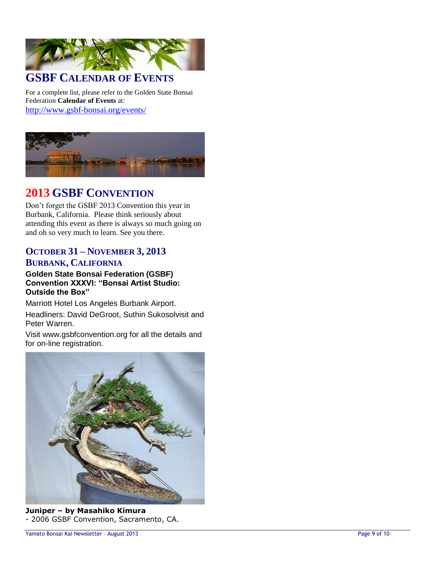

## **GSBF CALENDAR OF EVENTS**

For a complete list, please refer to the Golden State Bonsai Federation **Calendar of Events** at: <http://www.gsbf-bonsai.org/events/>



### **2013 GSBF CONVENTION**

Don't forget the GSBF 2013 Convention this year in Burbank, California. Please think seriously about attending this event as there is always so much going on and oh so very much to learn. See you there.

### **OCTOBER 31 – NOVEMBER 3, 2013 BURBANK, CALIFORNIA**

#### **Golden State Bonsai Federation (GSBF) Convention XXXVI: "Bonsai Artist Studio: Outside the Box"**

Marriott Hotel Los Angeles Burbank Airport.

Headliners: David DeGroot, Suthin Sukosolvisit and Peter Warren.

Visit www.gsbfconvention.org for all the details and for on-line registration.



**Juniper – by Masahiko Kimura**  - 2006 GSBF Convention, Sacramento, CA.